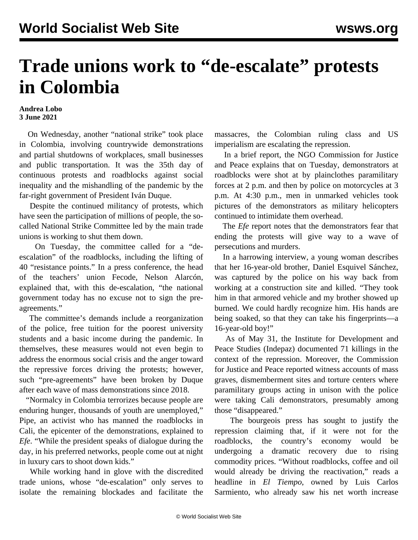## **Trade unions work to "de-escalate" protests in Colombia**

## **Andrea Lobo 3 June 2021**

 On Wednesday, another "national strike" took place in Colombia, involving countrywide demonstrations and partial shutdowns of workplaces, small businesses and public transportation. It was the 35th day of continuous protests and roadblocks against social inequality and the mishandling of the pandemic by the far-right government of President Iván Duque.

 Despite the continued militancy of protests, which have seen the participation of millions of people, the socalled National Strike Committee led by the main trade unions is working to shut them down.

 On Tuesday, the committee called for a "deescalation" of the roadblocks, including the lifting of 40 "resistance points." In a press conference, the head of the teachers' union Fecode, Nelson Alarcón, explained that, with this de-escalation, "the national government today has no excuse not to sign the preagreements."

 The committee's demands include a reorganization of the police, free tuition for the poorest university students and a basic income during the pandemic. In themselves, these measures would not even begin to address the enormous social crisis and the anger toward the repressive forces driving the protests; however, such "pre-agreements" have been broken by Duque after each wave of mass demonstrations since 2018.

 "Normalcy in Colombia terrorizes because people are enduring hunger, thousands of youth are unemployed," Pipe, an activist who has manned the roadblocks in Cali, the epicenter of the demonstrations, explained to *Efe*. "While the president speaks of dialogue during the day, in his preferred networks, people come out at night in luxury cars to shoot down kids."

 While working hand in glove with the discredited trade unions, whose "de-escalation" only serves to isolate the remaining blockades and facilitate the massacres, the Colombian ruling class and US imperialism are escalating the repression.

 In a brief report, the NGO Commission for Justice and Peace explains that on Tuesday, demonstrators at roadblocks were shot at by plainclothes paramilitary forces at 2 p.m. and then by police on motorcycles at 3 p.m. At 4:30 p.m., men in unmarked vehicles took pictures of the demonstrators as military helicopters continued to intimidate them overhead.

 The *Efe* report notes that the demonstrators fear that ending the protests will give way to a wave of persecutions and murders.

 In a harrowing [interview,](https://twitter.com/i/status/1399481858652508160) a young woman describes that her 16-year-old brother, Daniel Esquivel Sánchez, was captured by the police on his way back from working at a construction site and killed. "They took him in that armored vehicle and my brother showed up burned. We could hardly recognize him. His hands are being soaked, so that they can take his fingerprints—a 16-year-old boy!"

 As of May 31, the Institute for Development and Peace Studies (Indepaz) documented 71 killings in the context of the repression. Moreover, the Commission for Justice and Peace reported witness accounts of mass graves, dismemberment sites and torture centers where paramilitary groups acting in unison with the police were taking Cali demonstrators, presumably among those "disappeared."

 The bourgeois press has sought to justify the repression claiming that, if it were not for the roadblocks, the country's economy would be undergoing a dramatic recovery due to rising commodity prices. "Without roadblocks, coffee and oil would already be driving the reactivation," reads a headline in *El Tiempo*, owned by Luis Carlos Sarmiento, who already saw his net worth increase